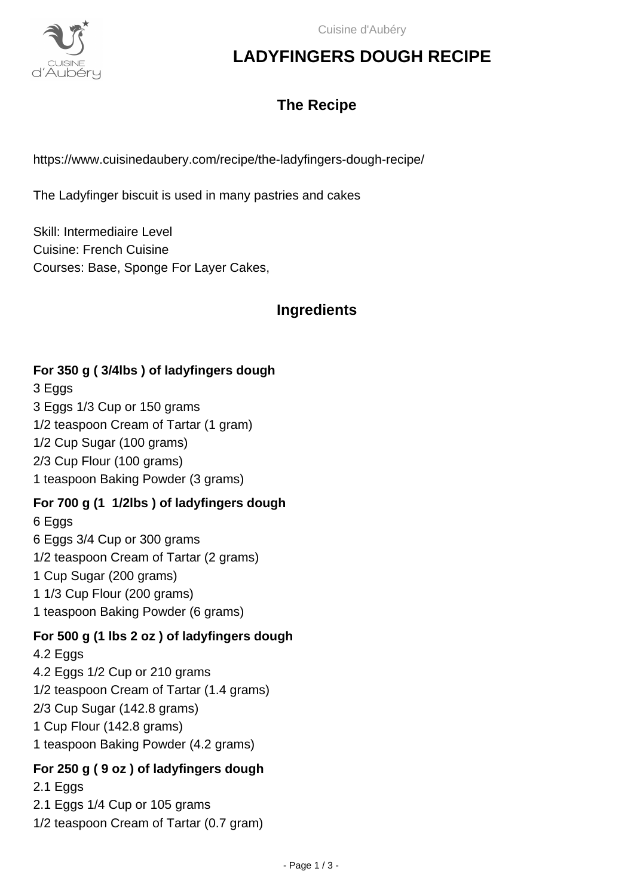

### **LADYFINGERS DOUGH RECIPE**

### **The Recipe**

https://www.cuisinedaubery.com/recipe/the-ladyfingers-dough-recipe/

The Ladyfinger biscuit is used in many pastries and cakes

Skill: Intermediaire Level Cuisine: French Cuisine Courses: Base, Sponge For Layer Cakes,

### **Ingredients**

#### **For 350 g ( 3/4lbs ) of ladyfingers dough**

3 Eggs 3 Eggs 1/3 Cup or 150 grams 1/2 teaspoon Cream of Tartar (1 gram) 1/2 Cup Sugar (100 grams) 2/3 Cup Flour (100 grams) 1 teaspoon Baking Powder (3 grams)

#### **For 700 g (1 1/2lbs ) of ladyfingers dough**

6 Eggs 6 Eggs 3/4 Cup or 300 grams 1/2 teaspoon Cream of Tartar (2 grams) 1 Cup Sugar (200 grams) 1 1/3 Cup Flour (200 grams) 1 teaspoon Baking Powder (6 grams)

#### **For 500 g (1 lbs 2 oz ) of ladyfingers dough**

4.2 Eggs 4.2 Eggs 1/2 Cup or 210 grams 1/2 teaspoon Cream of Tartar (1.4 grams) 2/3 Cup Sugar (142.8 grams) 1 Cup Flour (142.8 grams) 1 teaspoon Baking Powder (4.2 grams)

#### **For 250 g ( 9 oz ) of ladyfingers dough**

2.1 Eggs 2.1 Eggs 1/4 Cup or 105 grams 1/2 teaspoon Cream of Tartar (0.7 gram)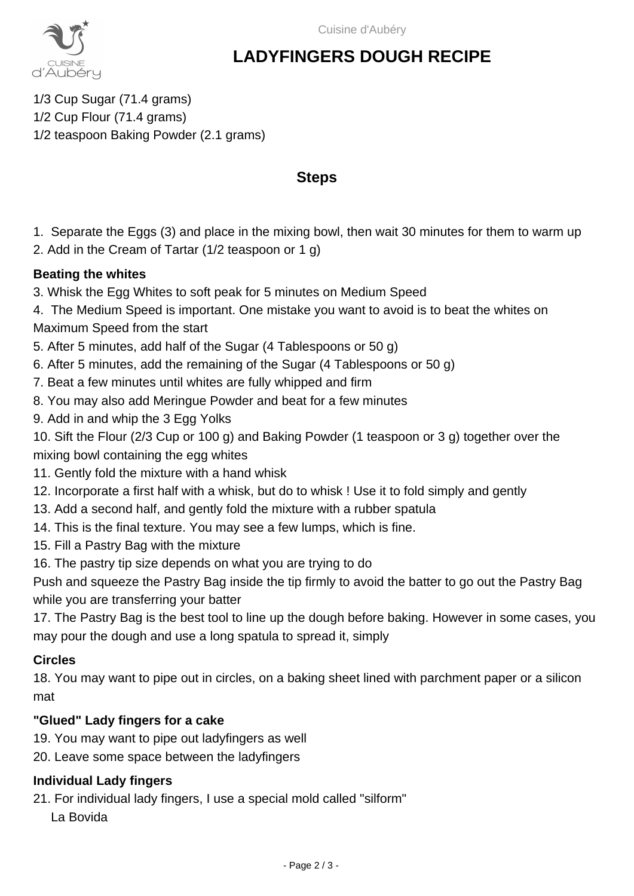

## **LADYFINGERS DOUGH RECIPE**

1/3 Cup Sugar (71.4 grams) 1/2 Cup Flour (71.4 grams) 1/2 teaspoon Baking Powder (2.1 grams)

#### **Steps**

- 1. Separate the Eggs (3) and place in the mixing bowl, then wait 30 minutes for them to warm up
- 2. Add in the Cream of Tartar (1/2 teaspoon or 1 g)

#### **Beating the whites**

- 3. Whisk the Egg Whites to soft peak for 5 minutes on Medium Speed
- 4. The Medium Speed is important. One mistake you want to avoid is to beat the whites on Maximum Speed from the start
- 5. After 5 minutes, add half of the Sugar (4 Tablespoons or 50 g)
- 6. After 5 minutes, add the remaining of the Sugar (4 Tablespoons or 50 g)
- 7. Beat a few minutes until whites are fully whipped and firm
- 8. You may also add Meringue Powder and beat for a few minutes
- 9. Add in and whip the 3 Egg Yolks

10. Sift the Flour (2/3 Cup or 100 g) and Baking Powder (1 teaspoon or 3 g) together over the mixing bowl containing the egg whites

- 11. Gently fold the mixture with a hand whisk
- 12. Incorporate a first half with a whisk, but do to whisk ! Use it to fold simply and gently
- 13. Add a second half, and gently fold the mixture with a rubber spatula
- 14. This is the final texture. You may see a few lumps, which is fine.
- 15. Fill a Pastry Bag with the mixture
- 16. The pastry tip size depends on what you are trying to do

Push and squeeze the Pastry Bag inside the tip firmly to avoid the batter to go out the Pastry Bag while you are transferring your batter

17. The Pastry Bag is the best tool to line up the dough before baking. However in some cases, you may pour the dough and use a long spatula to spread it, simply

#### **Circles**

18. You may want to pipe out in circles, on a baking sheet lined with parchment paper or a silicon mat

#### **"Glued" Lady fingers for a cake**

- 19. You may want to pipe out ladyfingers as well
- 20. Leave some space between the ladyfingers

#### **Individual Lady fingers**

21. For individual lady fingers, I use a special mold called "silform"

La Bovida